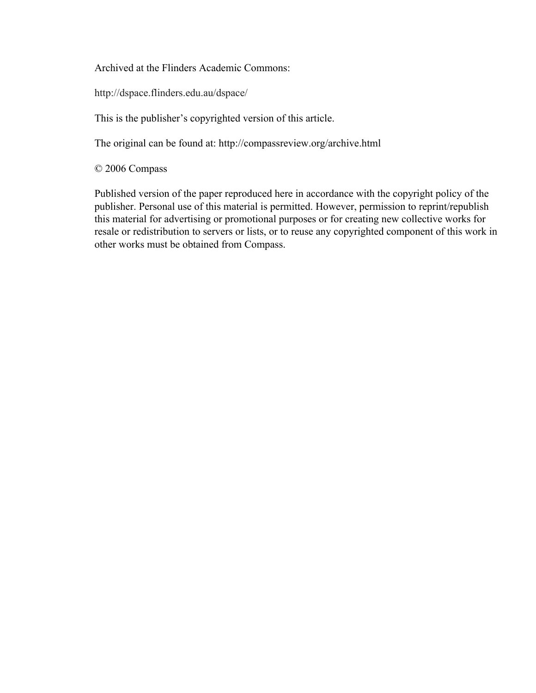Archived at the Flinders Academic Commons:

http://dspace.flinders.edu.au/dspace/

This is the publisher's copyrighted version of this article.

The original can be found at: http://compassreview.org/archive.html

© 2006 Compass

Published version of the paper reproduced here in accordance with the copyright policy of the publisher. Personal use of this material is permitted. However, permission to reprint/republish this material for advertising or promotional purposes or for creating new collective works for resale or redistribution to servers or lists, or to reuse any copyrighted component of this work in other works must be obtained from Compass.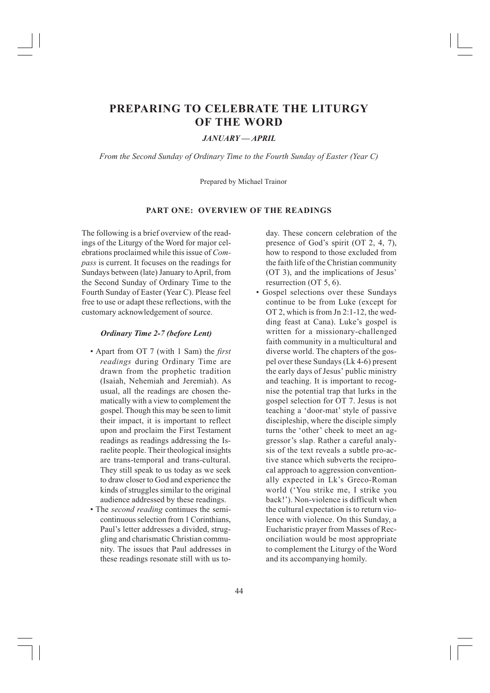# **PREPARING TO CELEBRATE THE LITURGY OF THE WORD**

# *JANUARY — APRIL*

*From the Second Sunday of Ordinary Time to the Fourth Sunday of Easter (Year C)*

Prepared by Michael Trainor

# **PART ONE: OVERVIEW OF THE READINGS**

The following is a brief overview of the readings of the Liturgy of the Word for major celebrations proclaimed while this issue of *Compass* is current. It focuses on the readings for Sundays between (late) January to April, from the Second Sunday of Ordinary Time to the Fourth Sunday of Easter (Year C). Please feel free to use or adapt these reflections, with the customary acknowledgement of source.

# *Ordinary Time 2-7 (before Lent)*

- Apart from OT 7 (with 1 Sam) the *first readings* during Ordinary Time are drawn from the prophetic tradition (Isaiah, Nehemiah and Jeremiah). As usual, all the readings are chosen thematically with a view to complement the gospel. Though this may be seen to limit their impact, it is important to reflect upon and proclaim the First Testament readings as readings addressing the Israelite people. Their theological insights are trans-temporal and trans-cultural. They still speak to us today as we seek to draw closer to God and experience the kinds of struggles similar to the original audience addressed by these readings.
- The *second reading* continues the semicontinuous selection from 1 Corinthians, Paul's letter addresses a divided, struggling and charismatic Christian community. The issues that Paul addresses in these readings resonate still with us to-

day. These concern celebration of the presence of God's spirit (OT 2, 4, 7), how to respond to those excluded from the faith life of the Christian community (OT 3), and the implications of Jesus' resurrection (OT 5, 6).

• Gospel selections over these Sundays continue to be from Luke (except for OT 2, which is from Jn 2:1-12, the wedding feast at Cana). Luke's gospel is written for a missionary-challenged faith community in a multicultural and diverse world. The chapters of the gospel over these Sundays (Lk 4-6) present the early days of Jesus' public ministry and teaching. It is important to recognise the potential trap that lurks in the gospel selection for OT 7. Jesus is not teaching a 'door-mat' style of passive discipleship, where the disciple simply turns the 'other' cheek to meet an aggressor's slap. Rather a careful analysis of the text reveals a subtle pro-active stance which subverts the reciprocal approach to aggression conventionally expected in Lk's Greco-Roman world ('You strike me, I strike you back!'). Non-violence is difficult when the cultural expectation is to return violence with violence. On this Sunday, a Eucharistic prayer from Masses of Reconciliation would be most appropriate to complement the Liturgy of the Word and its accompanying homily.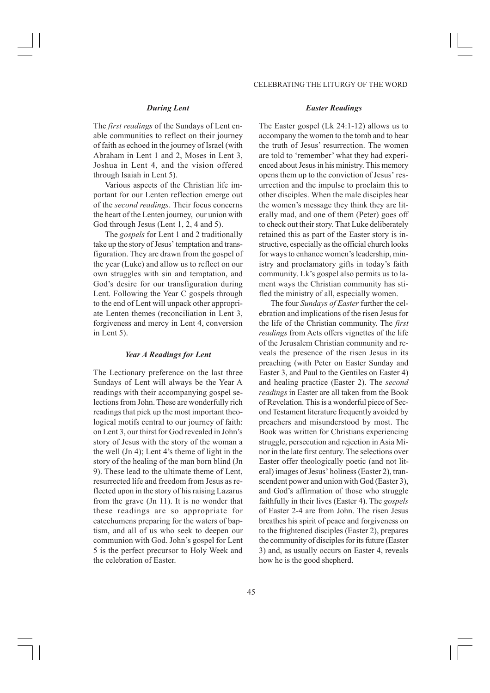## *During Lent*

The *first readings* of the Sundays of Lent enable communities to reflect on their journey of faith as echoed in the journey of Israel (with Abraham in Lent 1 and 2, Moses in Lent 3, Joshua in Lent 4, and the vision offered through Isaiah in Lent 5).

Various aspects of the Christian life important for our Lenten reflection emerge out of the *second readings*. Their focus concerns the heart of the Lenten journey, our union with God through Jesus (Lent 1, 2, 4 and 5).

The *gospels* for Lent 1 and 2 traditionally take up the story of Jesus' temptation and transfiguration. They are drawn from the gospel of the year (Luke) and allow us to reflect on our own struggles with sin and temptation, and God's desire for our transfiguration during Lent. Following the Year C gospels through to the end of Lent will unpack other appropriate Lenten themes (reconciliation in Lent 3, forgiveness and mercy in Lent 4, conversion in Lent 5).

## *Year A Readings for Lent*

The Lectionary preference on the last three Sundays of Lent will always be the Year A readings with their accompanying gospel selections from John. These are wonderfully rich readings that pick up the most important theological motifs central to our journey of faith: on Lent 3, our thirst for God revealed in John's story of Jesus with the story of the woman a the well (Jn 4); Lent 4's theme of light in the story of the healing of the man born blind (Jn 9). These lead to the ultimate theme of Lent, resurrected life and freedom from Jesus as reflected upon in the story of his raising Lazarus from the grave (Jn 11). It is no wonder that these readings are so appropriate for catechumens preparing for the waters of baptism, and all of us who seek to deepen our communion with God. John's gospel for Lent 5 is the perfect precursor to Holy Week and the celebration of Easter.

#### *Easter Readings*

The Easter gospel (Lk 24:1-12) allows us to accompany the women to the tomb and to hear the truth of Jesus' resurrection. The women are told to 'remember' what they had experienced about Jesus in his ministry. This memory opens them up to the conviction of Jesus' resurrection and the impulse to proclaim this to other disciples. When the male disciples hear the women's message they think they are literally mad, and one of them (Peter) goes off to check out their story. That Luke deliberately retained this as part of the Easter story is instructive, especially as the official church looks for ways to enhance women's leadership, ministry and proclamatory gifts in today's faith community. Lk's gospel also permits us to lament ways the Christian community has stifled the ministry of all, especially women.

The four *Sundays of Easter* further the celebration and implications of the risen Jesus for the life of the Christian community. The *first readings* from Acts offers vignettes of the life of the Jerusalem Christian community and reveals the presence of the risen Jesus in its preaching (with Peter on Easter Sunday and Easter 3, and Paul to the Gentiles on Easter 4) and healing practice (Easter 2). The *second readings* in Easter are all taken from the Book of Revelation. This is a wonderful piece of Second Testament literature frequently avoided by preachers and misunderstood by most. The Book was written for Christians experiencing struggle, persecution and rejection in Asia Minor in the late first century. The selections over Easter offer theologically poetic (and not literal) images of Jesus' holiness (Easter 2), transcendent power and union with God (Easter 3), and God's affirmation of those who struggle faithfully in their lives (Easter 4). The *gospels* of Easter 2-4 are from John. The risen Jesus breathes his spirit of peace and forgiveness on to the frightened disciples (Easter 2), prepares the community of disciples for its future (Easter 3) and, as usually occurs on Easter 4, reveals how he is the good shepherd.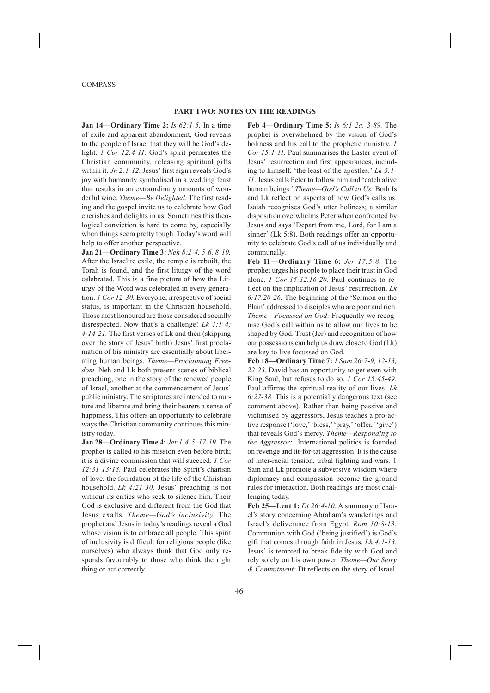#### COMPASS

#### **PART TWO: NOTES ON THE READINGS**

**Jan 14—Ordinary Time 2:** *Is 62:1-5.* In a time of exile and apparent abandonment, God reveals to the people of Israel that they will be God's delight. *1 Cor 12:4-11*. God's spirit permeates the Christian community, releasing spiritual gifts within it. *Jn 2:1-12*. Jesus' first sign reveals God's joy with humanity symbolised in a wedding feast that results in an extraordinary amounts of wonderful wine. *Theme—Be Delighted.* The first reading and the gospel invite us to celebrate how God cherishes and delights in us. Sometimes this theological conviction is hard to come by, especially when things seem pretty tough. Today's word will help to offer another perspective.

**Jan 21—Ordinary Time 3:** *Neh 8:2-4, 5-6, 8-10.* After the Israelite exile, the temple is rebuilt, the Torah is found, and the first liturgy of the word celebrated. This is a fine picture of how the Liturgy of the Word was celebrated in every generation. *1 Cor 12-30.* Everyone, irrespective of social status, is important in the Christian household. Those most honoured are those considered socially disrespected. Now that's a challenge! *Lk 1:1-4; 4:14-21.* The first verses of Lk and then (skipping over the story of Jesus' birth) Jesus' first proclamation of his ministry are essentially about liberating human beings. *Theme—Proclaiming Freedom.* Neh and Lk both present scenes of biblical preaching, one in the story of the renewed people of Israel, another at the commencement of Jesus' public ministry. The scriptures are intended to nurture and liberate and bring their hearers a sense of happiness. This offers an opportunity to celebrate ways the Christian community continues this ministry today.

**Jan 28—Ordinary Time 4:** *Jer 1:4-5, 17-19.* The prophet is called to his mission even before birth; it is a divine commission that will succeed. *1 Cor 12:31-13:13.* Paul celebrates the Spirit's charism of love, the foundation of the life of the Christian household. *Lk 4:21-30.* Jesus' preaching is not without its critics who seek to silence him. Their God is exclusive and different from the God that Jesus exalts. *Theme—God's inclusivity.* The prophet and Jesus in today's readings reveal a God whose vision is to embrace all people. This spirit of inclusivity is difficult for religious people (like ourselves) who always think that God only responds favourably to those who think the right thing or act correctly.

**Feb 4—Ordinary Time 5:** *Is 6:1-2a, 3-89.* The prophet is overwhelmed by the vision of God's holiness and his call to the prophetic ministry. *1 Cor 15:1-11.* Paul summarises the Easter event of Jesus' resurrection and first appearances, including to himself, 'the least of the apostles.' *Lk 5:1- 11*. Jesus calls Peter to follow him and 'catch alive human beings.' *Theme—God's Call to Us.* Both Is and Lk reflect on aspects of how God's calls us. Isaiah recognises God's utter holiness; a similar disposition overwhelms Peter when confronted by Jesus and says 'Depart from me, Lord, for I am a sinner' (Lk 5:8). Both readings offer an opportunity to celebrate God's call of us individually and communally.

**Feb 11—Ordinary Time 6:** *Jer 17:5-8.* The prophet urges his people to place their trust in God alone. *1 Cor 15:12.16-20.* Paul continues to reflect on the implication of Jesus' resurrection. *Lk 6:17.20-26.* The beginning of the 'Sermon on the Plain' addressed to disciples who are poor and rich. *Theme—Focussed on God:* Frequently we recognise God's call within us to allow our lives to be shaped by God. Trust (Jer) and recognition of how our possessions can help us draw close to God (Lk) are key to live focussed on God.

**Feb 18—Ordinary Time 7:** *1 Sam 26:7-9, 12-13, 22-23.* David has an opportunity to get even with King Saul, but refuses to do so. *1 Cor 15:45-49.* Paul affirms the spiritual reality of our lives. *Lk 6:27-38.* This is a potentially dangerous text (see comment above). Rather than being passive and victimised by aggressors, Jesus teaches a pro-active response ('love,' 'bless,' 'pray,' 'offer,' 'give') that reveals God's mercy. *Theme—Responding to the Aggressor:* International politics is founded on revenge and tit-for-tat aggression. It is the cause of inter-racial tension, tribal fighting and wars. 1 Sam and Lk promote a subversive wisdom where diplomacy and compassion become the ground rules for interaction. Both readings are most challenging today.

**Feb 25—Lent 1:** *Dt 26:4-10*. A summary of Israel's story concerning Abraham's wanderings and Israel's deliverance from Egypt. *Rom 10:8-13.* Communion with God ('being justified') is God's gift that comes through faith in Jesus. *Lk 4:1-13.* Jesus' is tempted to break fidelity with God and rely solely on his own power. *Theme—Our Story & Commitment:* Dt reflects on the story of Israel.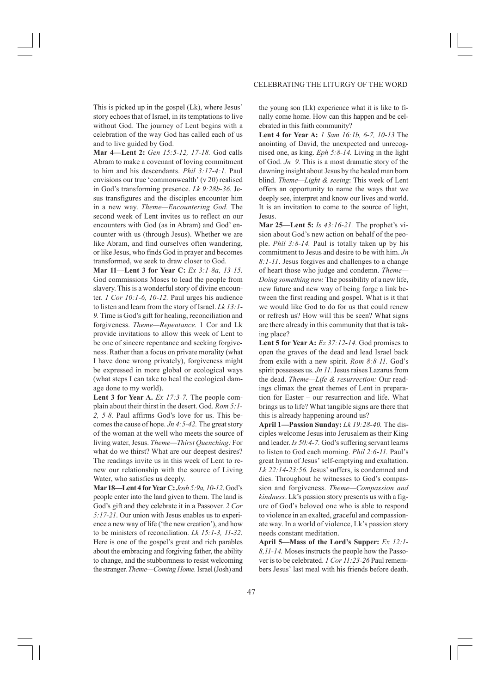This is picked up in the gospel (Lk), where Jesus' story echoes that of Israel, in its temptations to live without God. The journey of Lent begins with a celebration of the way God has called each of us and to live guided by God.

**Mar 4—Lent 2:** *Gen 15:5-12, 17-18.* God calls Abram to make a covenant of loving commitment to him and his descendants. *Phil 3:17-4:1.* Paul envisions our true 'commonwealth' (v 20) realised in God's transforming presence. *Lk 9:28b-36.* Jesus transfigures and the disciples encounter him in a new way. *Theme—Encountering God.* The second week of Lent invites us to reflect on our encounters with God (as in Abram) and God' encounter with us (through Jesus). Whether we are like Abram, and find ourselves often wandering, or like Jesus, who finds God in prayer and becomes transformed, we seek to draw closer to God.

**Mar 11—Lent 3 for Year C:** *Ex 3:1-8a, 13-15.* God commissions Moses to lead the people from slavery. This is a wonderful story of divine encounter. *1 Cor 10:1-6, 10-12.* Paul urges his audience to listen and learn from the story of Israel. *Lk 13:1- 9.* Time is God's gift for healing, reconciliation and forgiveness. *Theme—Repentance.* 1 Cor and Lk provide invitations to allow this week of Lent to be one of sincere repentance and seeking forgiveness. Rather than a focus on private morality (what I have done wrong privately), forgiveness might be expressed in more global or ecological ways (what steps I can take to heal the ecological damage done to my world).

**Lent 3 for Year A.** *Ex 17:3-7.* The people complain about their thirst in the desert. God. *Rom 5:1- 2, 5-8.* Paul affirms God's love for us. This becomes the cause of hope. *Jn 4:5-42.* The great story of the woman at the well who meets the source of living water, Jesus. *Theme—Thirst Quenching:* For what do we thirst? What are our deepest desires? The readings invite us in this week of Lent to renew our relationship with the source of Living Water, who satisfies us deeply.

**Mar 18—Lent 4 for Year C:** *Josh 5:9a, 10-12*. God's people enter into the land given to them. The land is God's gift and they celebrate it in a Passover. *2 Cor 5:17-21*. Our union with Jesus enables us to experience a new way of life ('the new creation'), and how to be ministers of reconciliation. *Lk 15:1-3, 11-32*. Here is one of the gospel's great and rich parables about the embracing and forgiving father, the ability to change, and the stubbornness to resist welcoming the stranger. *Theme—Coming Home.* Israel (Josh) and

## CELEBRATING THE LITURGY OF THE WORD

the young son (Lk) experience what it is like to finally come home. How can this happen and be celebrated in this faith community?

**Lent 4 for Year A:** *1 Sam 16:1b, 6-7, 10-13* The anointing of David, the unexpected and unrecognised one, as king. *Eph 5:8-14.* Living in the light of God. *Jn 9.* This is a most dramatic story of the dawning insight about Jesus by the healed man born blind. *Theme—Light & seeing*: This week of Lent offers an opportunity to name the ways that we deeply see, interpret and know our lives and world. It is an invitation to come to the source of light, Jesus.

**Mar 25—Lent 5:** *Is 43:16-21.* The prophet's vision about God's new action on behalf of the people. *Phil 3:8-14.* Paul is totally taken up by his commitment to Jesus and desire to be with him. *Jn 8:1-11*. Jesus forgives and challenges to a change of heart those who judge and condemn. *Theme— Doing something new.* The possibility of a new life, new future and new way of being forge a link between the first reading and gospel. What is it that we would like God to do for us that could renew or refresh us? How will this be seen? What signs are there already in this community that that is taking place?

**Lent 5 for Year A:** *Ez 37:12-14.* God promises to open the graves of the dead and lead Israel back from exile with a new spirit. *Rom 8:8-11.* God's spirit possesses us. *Jn 11.* Jesus raises Lazarus from the dead. *Theme—Life & resurrection:* Our readings climax the great themes of Lent in preparation for Easter – our resurrection and life. What brings us to life? What tangible signs are there that this is already happening around us?

**April 1—Passion Sunday:** *Lk 19:28-40.* The disciples welcome Jesus into Jerusalem as their King and leader. *Is 50:4-7.* God's suffering servant learns to listen to God each morning. *Phil 2:6-11.* Paul's great hymn of Jesus' self-emptying and exaltation. *Lk 22:14-23:56.* Jesus' suffers, is condemned and dies. Throughout he witnesses to God's compassion and forgiveness. *Theme—Compassion and kindness*. Lk's passion story presents us with a figure of God's beloved one who is able to respond to violence in an exalted, graceful and compassionate way. In a world of violence, Lk's passion story needs constant meditation.

**April 5—Mass of the Lord's Supper:** *Ex 12:1- 8,11-14.* Moses instructs the people how the Passover is to be celebrated. *1 Cor 11:23-26* Paul remembers Jesus' last meal with his friends before death.